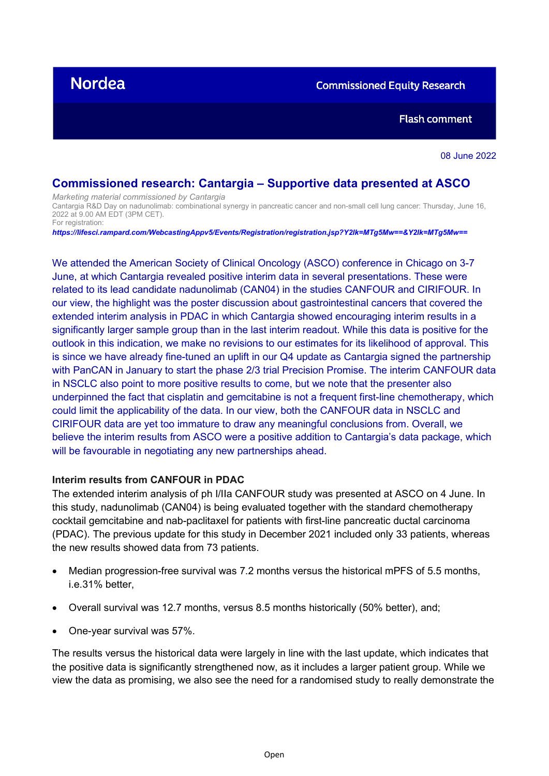# **Nordea**

**Commissioned Equity Research** 

**Flash comment** 

08 June 2022

# **Commissioned research: Cantargia – Supportive data presented at ASCO**

*Marketing material commissioned by Cantargia* Cantargia R&D Day on nadunolimab: combinational synergy in pancreatic cancer and non-small cell lung cancer: Thursday, June 16, 2022 at 9.00 AM EDT (3PM CET). For registration:

*https://lifesci.rampard.com/WebcastingAppv5/Events/Registration/registration.jsp?Y2lk=MTg5Mw==&Y2lk=MTg5Mw==*

We attended the American Society of Clinical Oncology (ASCO) conference in Chicago on 3-7 June, at which Cantargia revealed positive interim data in several presentations. These were related to its lead candidate nadunolimab (CAN04) in the studies CANFOUR and CIRIFOUR. In our view, the highlight was the poster discussion about gastrointestinal cancers that covered the extended interim analysis in PDAC in which Cantargia showed encouraging interim results in a significantly larger sample group than in the last interim readout. While this data is positive for the outlook in this indication, we make no revisions to our estimates for its likelihood of approval. This is since we have already fine-tuned an uplift in our Q4 update as Cantargia signed the partnership with PanCAN in January to start the phase 2/3 trial Precision Promise. The interim CANFOUR data in NSCLC also point to more positive results to come, but we note that the presenter also underpinned the fact that cisplatin and gemcitabine is not a frequent first-line chemotherapy, which could limit the applicability of the data. In our view, both the CANFOUR data in NSCLC and CIRIFOUR data are yet too immature to draw any meaningful conclusions from. Overall, we believe the interim results from ASCO were a positive addition to Cantargia's data package, which will be favourable in negotiating any new partnerships ahead.

# **Interim results from CANFOUR in PDAC**

The extended interim analysis of ph I/IIa CANFOUR study was presented at ASCO on 4 June. In this study, nadunolimab (CAN04) is being evaluated together with the standard chemotherapy cocktail gemcitabine and nab-paclitaxel for patients with first-line pancreatic ductal carcinoma (PDAC). The previous update for this study in December 2021 included only 33 patients, whereas the new results showed data from 73 patients.

- Median progression-free survival was 7.2 months versus the historical mPFS of 5.5 months, i.e.31% better,
- Overall survival was 12.7 months, versus 8.5 months historically (50% better), and;
- One-year survival was 57%.

The results versus the historical data were largely in line with the last update, which indicates that the positive data is significantly strengthened now, as it includes a larger patient group. While we view the data as promising, we also see the need for a randomised study to really demonstrate the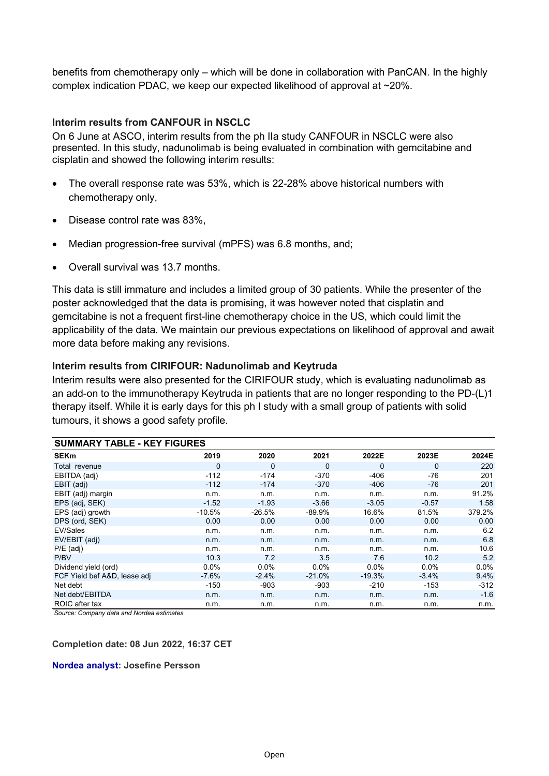benefits from chemotherapy only – which will be done in collaboration with PanCAN. In the highly complex indication PDAC, we keep our expected likelihood of approval at ~20%.

# **Interim results from CANFOUR in NSCLC**

On 6 June at ASCO, interim results from the ph IIa study CANFOUR in NSCLC were also presented. In this study, nadunolimab is being evaluated in combination with gemcitabine and cisplatin and showed the following interim results:

- The overall response rate was 53%, which is 22-28% above historical numbers with chemotherapy only,
- Disease control rate was 83%,
- Median progression-free survival (mPFS) was 6.8 months, and;
- Overall survival was 13.7 months.

This data is still immature and includes a limited group of 30 patients. While the presenter of the poster acknowledged that the data is promising, it was however noted that cisplatin and gemcitabine is not a frequent first-line chemotherapy choice in the US, which could limit the applicability of the data. We maintain our previous expectations on likelihood of approval and await more data before making any revisions.

# **Interim results from CIRIFOUR: Nadunolimab and Keytruda**

Interim results were also presented for the CIRIFOUR study, which is evaluating nadunolimab as an add-on to the immunotherapy Keytruda in patients that are no longer responding to the PD-(L)1 therapy itself. While it is early days for this ph I study with a small group of patients with solid tumours, it shows a good safety profile.

| <b>SUMMARY TABLE - KEY FIGURES</b> |          |          |             |          |          |         |
|------------------------------------|----------|----------|-------------|----------|----------|---------|
| <b>SEKm</b>                        | 2019     | 2020     | 2021        | 2022E    | 2023E    | 2024E   |
| Total revenue                      | 0        | 0        | $\mathbf 0$ | 0        | $\Omega$ | 220     |
| EBITDA (adj)                       | $-112$   | $-174$   | $-370$      | $-406$   | -76      | 201     |
| EBIT (adj)                         | $-112$   | $-174$   | $-370$      | -406     | -76      | 201     |
| EBIT (adj) margin                  | n.m.     | n.m.     | n.m.        | n.m.     | n.m.     | 91.2%   |
| EPS (adj, SEK)                     | $-1.52$  | $-1.93$  | $-3.66$     | $-3.05$  | $-0.57$  | 1.58    |
| EPS (adj) growth                   | $-10.5%$ | $-26.5%$ | -89.9%      | 16.6%    | 81.5%    | 379.2%  |
| DPS (ord, SEK)                     | 0.00     | 0.00     | 0.00        | 0.00     | 0.00     | 0.00    |
| EV/Sales                           | n.m.     | n.m.     | n.m.        | n.m.     | n.m.     | 6.2     |
| EV/EBIT (adj)                      | n.m.     | n.m.     | n.m.        | n.m.     | n.m.     | 6.8     |
| $P/E$ (adj)                        | n.m.     | n.m.     | n.m.        | n.m.     | n.m.     | 10.6    |
| P/BV                               | 10.3     | 7.2      | 3.5         | 7.6      | 10.2     | 5.2     |
| Dividend yield (ord)               | $0.0\%$  | 0.0%     | $0.0\%$     | $0.0\%$  | $0.0\%$  | $0.0\%$ |
| FCF Yield bef A&D, lease adj       | $-7.6%$  | $-2.4%$  | $-21.0%$    | $-19.3%$ | $-3.4%$  | 9.4%    |
| Net debt                           | $-150$   | $-903$   | -903        | $-210$   | $-153$   | $-312$  |
| Net debt/EBITDA                    | n.m.     | n.m.     | n.m.        | n.m.     | n.m.     | $-1.6$  |
| ROIC after tax                     | n.m.     | n.m.     | n.m.        | n.m.     | n.m.     | n.m.    |

*Source: Company data and Nordea estimates*

# **Completion date: 08 Jun 2022, 16:37 CET**

# **Nordea analyst: Josefine Persson**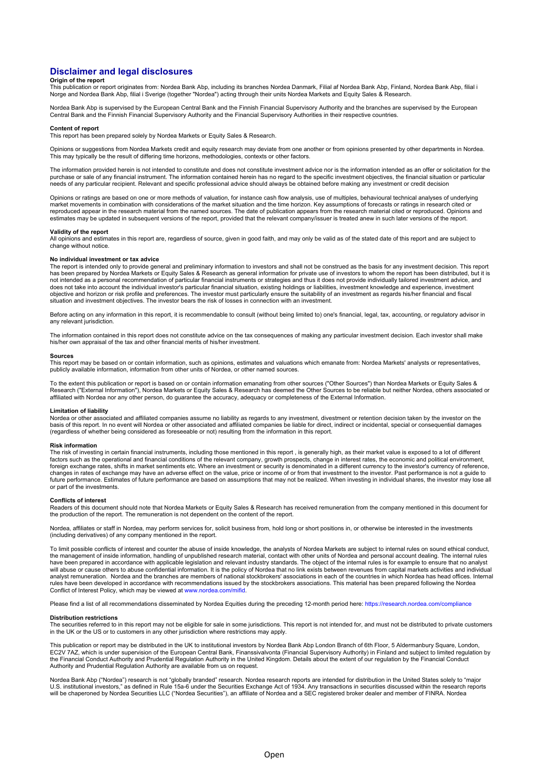# **Disclaimer and legal disclosures**

## **Origin of the report**

This publication or report originates from: Nordea Bank Abp, including its branches Nordea Danmark, Filial af Nordea Bank Abp, Finland, Nordea Bank Abp, filial i<br>Norge and Nordea Bank Abp, filial i Sverige (together "Norde

Nordea Bank Abp is supervised by the European Central Bank and the Finnish Financial Supervisory Authority and the branches are supervised by the European<br>Central Bank and the Finnish Financial Supervisory Authority and th

#### **Content of report**

This report has been prepared solely by Nordea Markets or Equity Sales & Research.

Opinions or suggestions from Nordea Markets credit and equity research may deviate from one another or from opinions presented by other departments in Nordea. This may typically be the result of differing time horizons, methodologies, contexts or other factors.

The information provided herein is not intended to constitute and does not constitute investment advice nor is the information intended as an offer or solicitation for the<br>purchase or sale of any financial instrument. The

Opinions or ratings are based on one or more methods of valuation, for instance cash flow analysis, use of multiples, behavioural technical analyses of underlying market movements in combination with considerations of the market situation and the time horizon. Key assumptions of forecasts or ratings in research cited or reproduced appear in the research material from the named sources. The date of publication appears from the research material cited or reproduced. Opinions and estimates may be updated in subsequent versions of the report, provided that the relevant company/issuer is treated anew in such later versions of the report.

### **Validity of the report**

All opinions and estimates in this report are, regardless of source, given in good faith, and may only be valid as of the stated date of this report and are subject to change without notice.

#### **No individual investment or tax advice**

The report is intended only to provide general and preliminary information to investors and shall not be construed as the basis for any investment decision. This report has been prepared by Nordea Markets or Equity Sales & Research as general information for private use of investors to whom the report has been distributed, but it is<br>not intended as a personal recommendation of particular does not take into account the individual investor's particular financial situation, existing holdings or liabilities, investment knowledge and experience, investment objective and horizon or risk profile and preferences. The investor must particularly ensure the suitability of an investment as regards his/her financial and fiscal situation and investment objectives. The investor bears the risk of losses in connection with an investment.

Before acting on any information in this report, it is recommendable to consult (without being limited to) one's financial, legal, tax, accounting, or regulatory advisor in any relevant jurisdiction.

The information contained in this report does not constitute advice on the tax consequences of making any particular investment decision. Each investor shall make<br>his/her own appraisal of the tax and other financial merits

#### **Sources**

This report may be based on or contain information, such as opinions, estimates and valuations which emanate from: Nordea Markets' analysts or representatives, publicly available information, information from other units of Nordea, or other named sources.

To the extent this publication or report is based on or contain information emanating from other sources ("Other Sources") than Nordea Markets or Equity Sales & Research ("External Information"), Nordea Markets or Equity Sales & Research has deemed the Other Sources to be reliable but neither Nordea, others associated or affiliated with Nordea nor any other person, do guarantee the accuracy, adequacy or completeness of the External Information.

### **Limitation of liability**

Nordea or other associated and affiliated companies assume no liability as regards to any investment, divestment or retention decision taken by the investor on the<br>basis of this report. In no event will Nordea or other ass (regardless of whether being considered as foreseeable or not) resulting from the information in this report.

#### **Risk information**

The risk of investing in certain financial instruments, including those mentioned in this report , is generally high, as their market value is exposed to a lot of different factors such as the operational and financial conditions of the relevant company, growth prospects, change in interest rates, the economic and political environment,<br>foreign exchange rates, shifts in market sentiments etc. changes in rates of exchange may have an adverse effect on the value, price or income of or from that investment to the investor. Past performance is not a guide to future performance. Estimates of future performance are based on assumptions that may not be realized. When investing in individual shares, the investor may lose all or part of the investments.

#### **Conflicts of interest**

Readers of this document should note that Nordea Markets or Equity Sales & Research has received remuneration from the company mentioned in this document for the production of the report. The remuneration is not dependent on the content of the report.

Nordea, affiliates or staff in Nordea, may perform services for, solicit business from, hold long or short positions in, or otherwise be interested in the investments (including derivatives) of any company mentioned in the report.

To limit possible conflicts of interest and counter the abuse of inside knowledge, the analysts of Nordea Markets are subject to internal rules on sound ethical conduct, the management of inside information, handling of unpublished research material, contact with other units of Nordea and personal account dealing. The internal rules<br>have been prepared in accordance with applicable legislat analyst remuneration. Nordea and the branches are members of national stockbrokers' associations in each of the countries in which Nordea has head offices. Internal rules have been developed in accordance with recommendations issued by the stockbrokers associations. This material has been prepared following the Nordea Conflict of Interest Policy, which may be viewed a[t www.nordea.com/mifid.](http://www.nordea.com/mifid)

Please find a list of all recommendations disseminated by Nordea Fquities during the preceding 12-month period here[: https://research.nordea.com/compliance](https://research.nordea.com/compliance)

#### **Distribution restrictions**

The securities referred to in this report may not be eligible for sale in some jurisdictions. This report is not intended for, and must not be distributed to private customers in the UK or the US or to customers in any other jurisdiction where restrictions may apply.

This publication or report may be distributed in the UK to institutional investors by Nordea Bank Abp London Branch of 6th Floor, 5 Aldermanbury Square, London,<br>EC2V 7AZ, which is under supervision of the European Central the Financial Conduct Authority and Prudential Regulation Authority in the United Kingdom. Details about the extent of our regulation by the Financial Conduct Authority and Prudential Regulation Authority are available from us on request.

Nordea Bank Abp ("Nordea") research is not "globally branded" research. Nordea research reports are intended for distribution in the United States solely to "major U.S. institutional investors," as defined in Rule 15a-6 under the Securities Exchange Act of 1934. Any transactions in securities discussed within the research reports<br>will be chaperoned by Nordea Securities LLC ("Nordea S